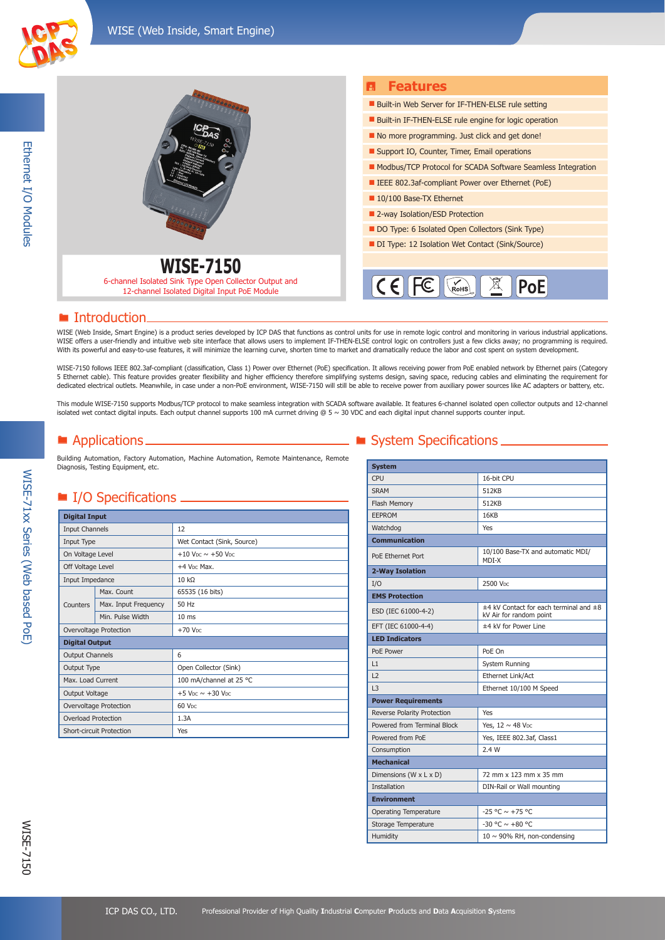

Ethernet I/O Modules

Ethernet I/O Modules



#### ■ Introduction

WISE (Web Inside, Smart Engine) is a product series developed by ICP DAS that functions as control units for use in remote logic control and monitoring in various industrial applications. WISE offers a user-friendly and intuitive web site interface that allows users to implement IF-THEN-ELSE control logic on controllers just a few clicks away; no programming is required. With its powerful and easy-to-use features, it will minimize the learning curve, shorten time to market and dramatically reduce the labor and cost spent on system development.

WISE-7150 follows IEEE 802.3af-compliant (classification, Class 1) Power over Ethernet (PoE) specification. It allows receiving power from PoE enabled network by Ethernet pairs (Category<br>5 Ethernet cable). This feature pro dedicated electrical outlets. Meanwhile, in case under a non-PoE environment, WISE-7150 will still be able to receive power from auxiliary power sources like AC adapters or battery, etc.

This module WISE-7150 supports Modbus/TCP protocol to make seamless integration with SCADA software available. It features 6-channel isolated open collector outputs and 12-channel isolated wet contact digital inputs. Each output channel supports 100 mA currnet driving @ 5 ~ 30 VDC and each digital input channel supports counter input.

Building Automation, Factory Automation, Machine Automation, Remote Maintenance, Remote Diagnosis, Testing Equipment, etc.

### ■ I/O Specifications

| <b>Digital Input</b>     |                      |                                                  |
|--------------------------|----------------------|--------------------------------------------------|
| <b>Input Channels</b>    |                      | 12                                               |
| Input Type               |                      | Wet Contact (Sink, Source)                       |
| On Voltage Level         |                      | $+10$ V <sub>DC</sub> $\sim +50$ V <sub>DC</sub> |
| Off Voltage Level        |                      | +4 V <sub>DC</sub> Max.                          |
| Input Impedance          |                      | $10 k\Omega$                                     |
|                          | Max. Count           | 65535 (16 bits)                                  |
| Counters                 | Max. Input Frequency | 50 Hz                                            |
|                          | Min. Pulse Width     | 10 <sub>ms</sub>                                 |
| Overvoltage Protection   |                      | $+70$ V <sub>DC</sub>                            |
| <b>Digital Output</b>    |                      |                                                  |
| <b>Output Channels</b>   |                      | 6                                                |
| Output Type              |                      | Open Collector (Sink)                            |
| Max. Load Current        |                      | 100 mA/channel at 25 °C                          |
| Output Voltage           |                      | $+5$ V <sub>DC</sub> $\sim$ +30 V <sub>DC</sub>  |
| Overvoltage Protection   |                      | 60 V <sub>DC</sub>                               |
| Overload Protection      |                      | 1.3A                                             |
| Short-circuit Protection |                      | Yes                                              |

# ■ Applications ■ System Specifications ■

| <b>System</b>                |                                                                       |
|------------------------------|-----------------------------------------------------------------------|
| CPU                          | 16-bit CPU                                                            |
| <b>SRAM</b>                  | 512KB                                                                 |
| Flash Memory                 | 512KB                                                                 |
| EEPROM                       | 16KB                                                                  |
| Watchdog                     | <b>Yes</b>                                                            |
| <b>Communication</b>         |                                                                       |
| PoE Ethernet Port            | 10/100 Base-TX and automatic MDI/<br>MDI-X                            |
| 2-Way Isolation              |                                                                       |
| I/O                          | 2500 V <sub>DC</sub>                                                  |
| <b>EMS Protection</b>        |                                                                       |
| ESD (IEC 61000-4-2)          | $±4$ kV Contact for each terminal and $±8$<br>kV Air for random point |
| EFT (IEC 61000-4-4)          | ±4 kV for Power Line                                                  |
| <b>LED Indicators</b>        |                                                                       |
| PoE Power                    | PoF On                                                                |
| L1                           | System Running                                                        |
| 12                           | Ethernet Link/Act                                                     |
| L3                           | Ethernet 10/100 M Speed                                               |
| <b>Power Requirements</b>    |                                                                       |
| Reverse Polarity Protection  | Yes                                                                   |
| Powered from Terminal Block  | Yes, 12 ~ 48 VDC                                                      |
| Powered from PoE             | Yes, IEEE 802.3af, Class1                                             |
| Consumption                  | 2.4W                                                                  |
| <b>Mechanical</b>            |                                                                       |
| Dimensions (W x L x D)       | 72 mm x 123 mm x 35 mm                                                |
| <b>Installation</b>          | DIN-Rail or Wall mounting                                             |
| <b>Environment</b>           |                                                                       |
| <b>Operating Temperature</b> | $-25 °C \sim +75 °C$                                                  |
| Storage Temperature          | $-30$ °C $\sim +80$ °C                                                |
| Humidity                     | $10 \sim 90\%$ RH, non-condensing                                     |

WISE-71xx Series (Web based PoE)

WISE-71xx Series (Web based PoE)